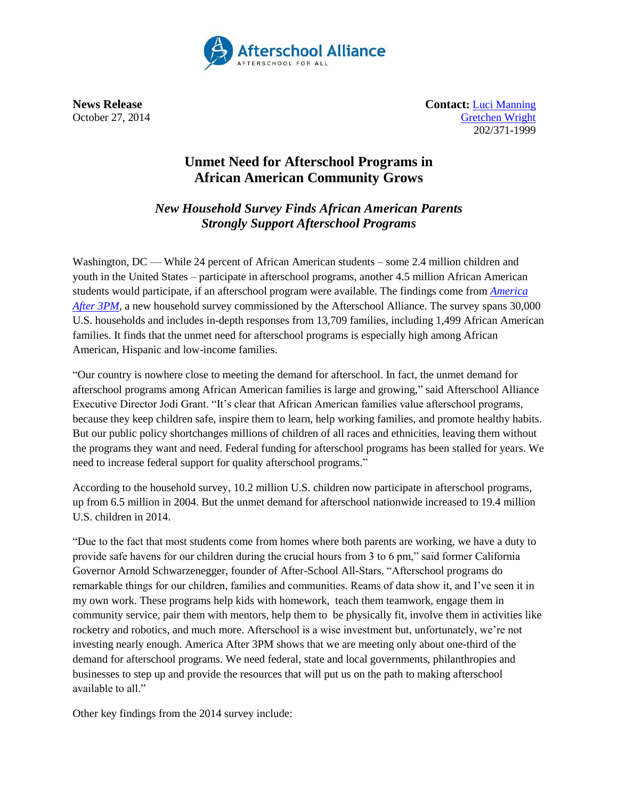

**News Release Contact:** [Luci Manning](mailto:luci@prsolutionsdc.com) October 27, 2014 [Gretchen Wright](mailto:gretchen@prsolutionsdc.com) 202/371-1999

## **Unmet Need for Afterschool Programs in African American Community Grows**

*New Household Survey Finds African American Parents Strongly Support Afterschool Programs*

Washington, DC — While 24 percent of African American students – some 2.4 million children and youth in the United States – participate in afterschool programs, another 4.5 million African American students would participate, if an afterschool program were available. The findings come from *[America](http://www.afterschoolalliance.org/AA3PM)  [After 3PM](http://www.afterschoolalliance.org/AA3PM)*, a new household survey commissioned by the Afterschool Alliance. The survey spans 30,000 U.S. households and includes in-depth responses from 13,709 families, including 1,499 African American families. It finds that the unmet need for afterschool programs is especially high among African American, Hispanic and low-income families.

"Our country is nowhere close to meeting the demand for afterschool. In fact, the unmet demand for afterschool programs among African American families is large and growing," said Afterschool Alliance Executive Director Jodi Grant. "It's clear that African American families value afterschool programs, because they keep children safe, inspire them to learn, help working families, and promote healthy habits. But our public policy shortchanges millions of children of all races and ethnicities, leaving them without the programs they want and need. Federal funding for afterschool programs has been stalled for years. We need to increase federal support for quality afterschool programs."

According to the household survey, 10.2 million U.S. children now participate in afterschool programs, up from 6.5 million in 2004. But the unmet demand for afterschool nationwide increased to 19.4 million U.S. children in 2014.

"Due to the fact that most students come from homes where both parents are working, we have a duty to provide safe havens for our children during the crucial hours from 3 to 6 pm," said former California Governor Arnold Schwarzenegger, founder of After-School All-Stars. "Afterschool programs do remarkable things for our children, families and communities. Reams of data show it, and I've seen it in my own work. These programs help kids with homework, teach them teamwork, engage them in community service, pair them with mentors, help them to be physically fit, involve them in activities like rocketry and robotics, and much more. Afterschool is a wise investment but, unfortunately, we're not investing nearly enough. America After 3PM shows that we are meeting only about one-third of the demand for afterschool programs. We need federal, state and local governments, philanthropies and businesses to step up and provide the resources that will put us on the path to making afterschool available to all."

Other key findings from the 2014 survey include: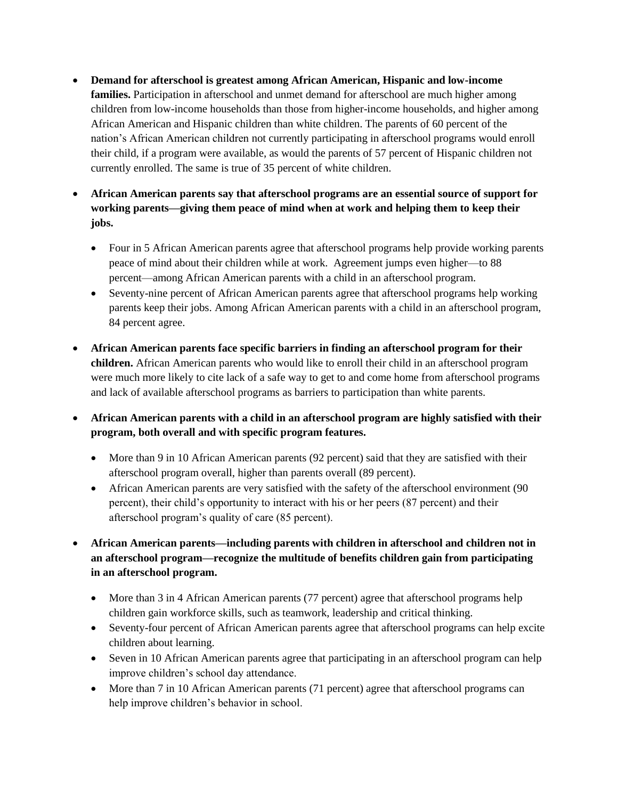- **Demand for afterschool is greatest among African American, Hispanic and low-income families.** Participation in afterschool and unmet demand for afterschool are much higher among children from low-income households than those from higher-income households, and higher among African American and Hispanic children than white children. The parents of 60 percent of the nation's African American children not currently participating in afterschool programs would enroll their child, if a program were available, as would the parents of 57 percent of Hispanic children not currently enrolled. The same is true of 35 percent of white children.
- **African American parents say that afterschool programs are an essential source of support for working parents—giving them peace of mind when at work and helping them to keep their jobs.**
	- Four in 5 African American parents agree that afterschool programs help provide working parents peace of mind about their children while at work. Agreement jumps even higher—to 88 percent—among African American parents with a child in an afterschool program.
	- Seventy-nine percent of African American parents agree that afterschool programs help working parents keep their jobs. Among African American parents with a child in an afterschool program, 84 percent agree.
- **African American parents face specific barriers in finding an afterschool program for their children.** African American parents who would like to enroll their child in an afterschool program were much more likely to cite lack of a safe way to get to and come home from afterschool programs and lack of available afterschool programs as barriers to participation than white parents.
- **African American parents with a child in an afterschool program are highly satisfied with their program, both overall and with specific program features.** 
	- More than 9 in 10 African American parents (92 percent) said that they are satisfied with their afterschool program overall, higher than parents overall (89 percent).
	- African American parents are very satisfied with the safety of the afterschool environment (90 percent), their child's opportunity to interact with his or her peers (87 percent) and their afterschool program's quality of care (85 percent).
- **African American parents—including parents with children in afterschool and children not in an afterschool program—recognize the multitude of benefits children gain from participating in an afterschool program.**
	- More than 3 in 4 African American parents (77 percent) agree that afterschool programs help children gain workforce skills, such as teamwork, leadership and critical thinking.
	- Seventy-four percent of African American parents agree that afterschool programs can help excite children about learning.
	- Seven in 10 African American parents agree that participating in an afterschool program can help improve children's school day attendance.
	- More than 7 in 10 African American parents (71 percent) agree that afterschool programs can help improve children's behavior in school.